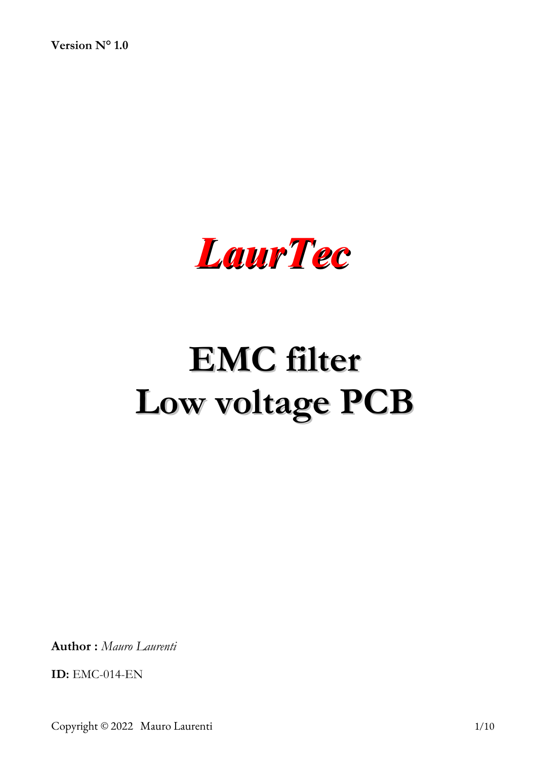**Version N° 1.0**



# **EMC filter Low voltage PCB**

**Author :** *Mauro Laurenti* 

**ID:** EMC-014-EN

Copyright © 2022 Mauro Laurenti 1/10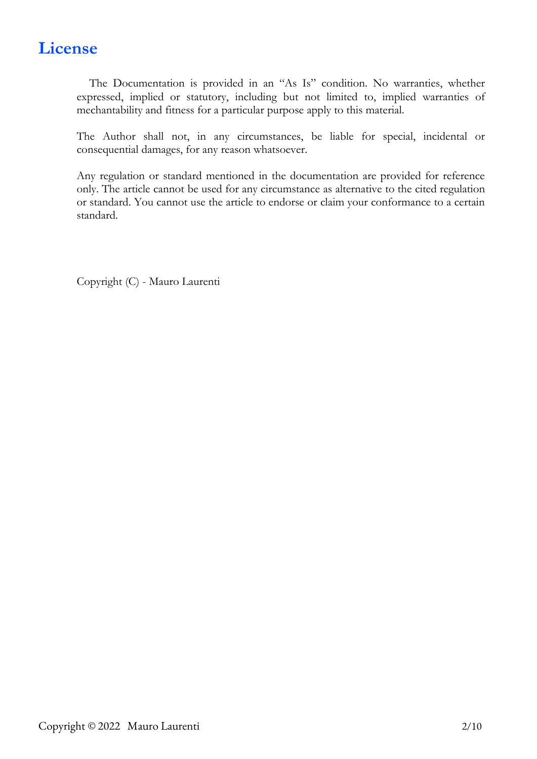# **License**

The Documentation is provided in an "As Is" condition. No warranties, whether expressed, implied or statutory, including but not limited to, implied warranties of mechantability and fitness for a particular purpose apply to this material.

The Author shall not, in any circumstances, be liable for special, incidental or consequential damages, for any reason whatsoever.

Any regulation or standard mentioned in the documentation are provided for reference only. The article cannot be used for any circumstance as alternative to the cited regulation or standard. You cannot use the article to endorse or claim your conformance to a certain standard.

Copyright (C) - Mauro Laurenti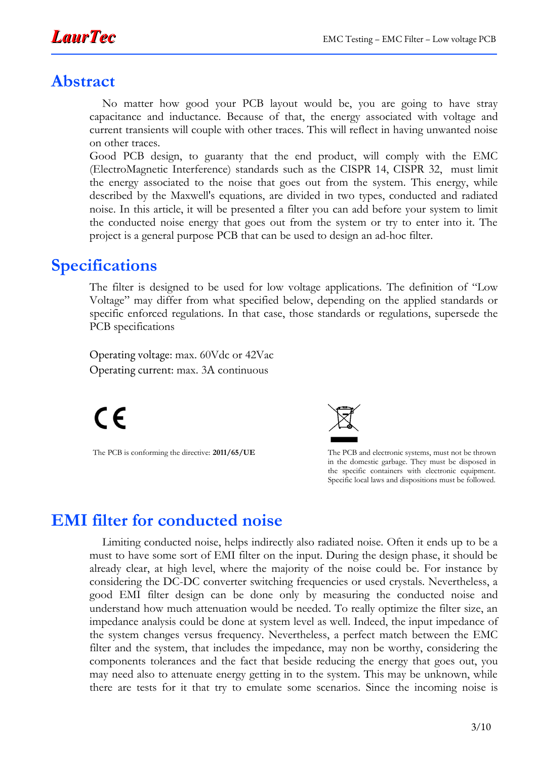

#### **Abstract**

No matter how good your PCB layout would be, you are going to have stray capacitance and inductance. Because of that, the energy associated with voltage and current transients will couple with other traces. This will reflect in having unwanted noise on other traces.

Good PCB design, to guaranty that the end product, will comply with the EMC (ElectroMagnetic Interference) standards such as the CISPR 14, CISPR 32, must limit the energy associated to the noise that goes out from the system. This energy, while described by the Maxwell's equations, are divided in two types, conducted and radiated noise. In this article, it will be presented a filter you can add before your system to limit the conducted noise energy that goes out from the system or try to enter into it. The project is a general purpose PCB that can be used to design an ad-hoc filter.

#### **Specifications**

The filter is designed to be used for low voltage applications. The definition of "Low Voltage" may differ from what specified below, depending on the applied standards or specific enforced regulations. In that case, those standards or regulations, supersede the PCB specifications

Operating voltage: max. 60Vdc or 42Vac Operating current: max. 3A continuous

 $\epsilon$ 



The PCB is conforming the directive: 2011/65/UE The PCB and electronic systems, must not be thrown in the domestic garbage. They must be disposed in the specific containers with electronic equipment. Specific local laws and dispositions must be followed.

#### **EMI filter for conducted noise**

Limiting conducted noise, helps indirectly also radiated noise. Often it ends up to be a must to have some sort of EMI filter on the input. During the design phase, it should be already clear, at high level, where the majority of the noise could be. For instance by considering the DC-DC converter switching frequencies or used crystals. Nevertheless, a good EMI filter design can be done only by measuring the conducted noise and understand how much attenuation would be needed. To really optimize the filter size, an impedance analysis could be done at system level as well. Indeed, the input impedance of the system changes versus frequency. Nevertheless, a perfect match between the EMC filter and the system, that includes the impedance, may non be worthy, considering the components tolerances and the fact that beside reducing the energy that goes out, you may need also to attenuate energy getting in to the system. This may be unknown, while there are tests for it that try to emulate some scenarios. Since the incoming noise is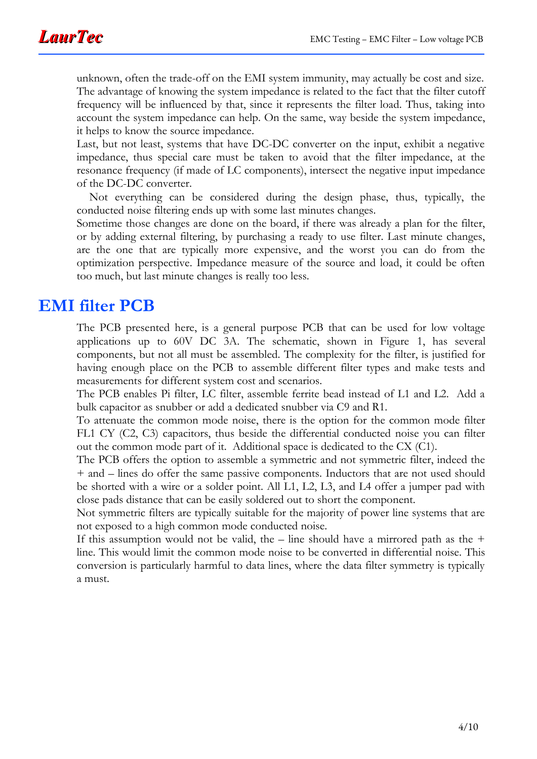unknown, often the trade-off on the EMI system immunity, may actually be cost and size. The advantage of knowing the system impedance is related to the fact that the filter cutoff frequency will be influenced by that, since it represents the filter load. Thus, taking into account the system impedance can help. On the same, way beside the system impedance, it helps to know the source impedance.

Last, but not least, systems that have DC-DC converter on the input, exhibit a negative impedance, thus special care must be taken to avoid that the filter impedance, at the resonance frequency (if made of LC components), intersect the negative input impedance of the DC-DC converter.

Not everything can be considered during the design phase, thus, typically, the conducted noise filtering ends up with some last minutes changes.

Sometime those changes are done on the board, if there was already a plan for the filter, or by adding external filtering, by purchasing a ready to use filter. Last minute changes, are the one that are typically more expensive, and the worst you can do from the optimization perspective. Impedance measure of the source and load, it could be often too much, but last minute changes is really too less.

#### **EMI filter PCB**

The PCB presented here, is a general purpose PCB that can be used for low voltage applications up to 60V DC 3A. The schematic, shown in Figure [1,](#page-4-0) has several components, but not all must be assembled. The complexity for the filter, is justified for having enough place on the PCB to assemble different filter types and make tests and measurements for different system cost and scenarios.

The PCB enables Pi filter, LC filter, assemble ferrite bead instead of L1 and L2. Add a bulk capacitor as snubber or add a dedicated snubber via C9 and R1.

To attenuate the common mode noise, there is the option for the common mode filter FL1 CY (C2, C3) capacitors, thus beside the differential conducted noise you can filter out the common mode part of it. Additional space is dedicated to the CX (C1).

The PCB offers the option to assemble a symmetric and not symmetric filter, indeed the + and – lines do offer the same passive components. Inductors that are not used should be shorted with a wire or a solder point. All L1, L2, L3, and L4 offer a jumper pad with close pads distance that can be easily soldered out to short the component.

Not symmetric filters are typically suitable for the majority of power line systems that are not exposed to a high common mode conducted noise.

If this assumption would not be valid, the  $-$  line should have a mirrored path as the  $+$ line. This would limit the common mode noise to be converted in differential noise. This conversion is particularly harmful to data lines, where the data filter symmetry is typically a must.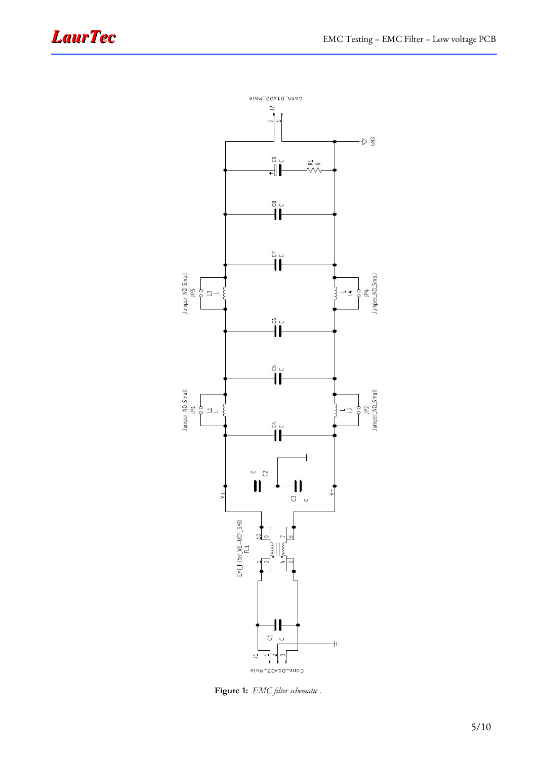

<span id="page-4-0"></span>**Figure 1:** *EMC filter schematic .*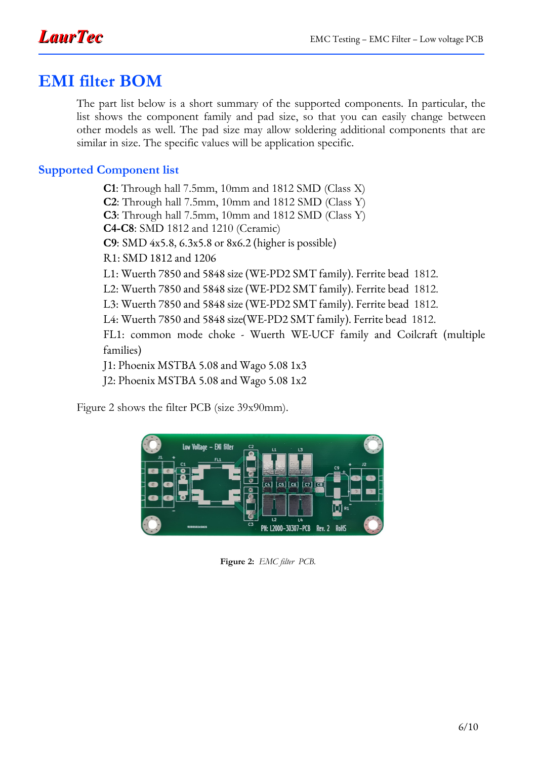## **EMI filter BOM**

The part list below is a short summary of the supported components. In particular, the list shows the component family and pad size, so that you can easily change between other models as well. The pad size may allow soldering additional components that are similar in size. The specific values will be application specific.

#### **Supported Component list**

**C1**: Through hall 7.5mm, 10mm and 1812 SMD (Class X) **C2**: Through hall 7.5mm, 10mm and 1812 SMD (Class Y) **C3**: Through hall 7.5mm, 10mm and 1812 SMD (Class Y) **C4-C8**: SMD 1812 and 1210 (Ceramic) **C9**: SMD 4x5.8, 6.3x5.8 or 8x6.2 (higher is possible) R1: SMD 1812 and 1206 L1: Wuerth 7850 and 5848 size (WE-PD2 SMT family). Ferrite bead 1812. L2: Wuerth 7850 and 5848 size (WE-PD2 SMT family). Ferrite bead 1812. L3: Wuerth 7850 and 5848 size (WE-PD2 SMT family). Ferrite bead 1812. L4: Wuerth 7850 and 5848 size(WE-PD2 SMT family). Ferrite bead 1812. FL1: common mode choke - Wuerth WE-UCF family and Coilcraft (multiple families) J1: Phoenix MSTBA 5.08 and Wago 5.08 1x3 J2: Phoenix MSTBA 5.08 and Wago 5.08 1x2

Figure [2](#page-5-0) shows the filter PCB (size 39x90mm).

<span id="page-5-0"></span>

**Figure 2:** *EMC filter PCB.*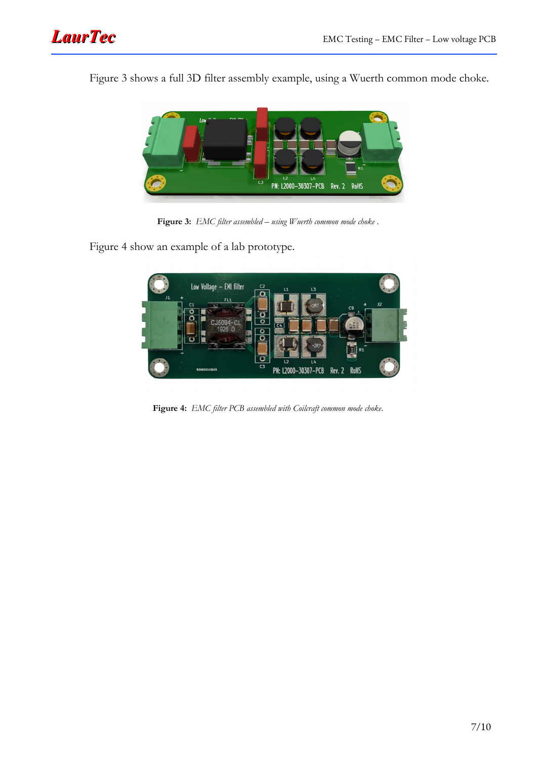

Figure [3](#page-6-1) shows a full 3D filter assembly example, using a Wuerth common mode choke.



**Figure 3:** *EMC filter assembled – using Wuerth common mode choke .*

Figure [4](#page-6-0) show an example of a lab prototype.

<span id="page-6-1"></span><span id="page-6-0"></span>

**Figure 4:** *EMC filter PCB assembled with Coilcraft common mode choke.*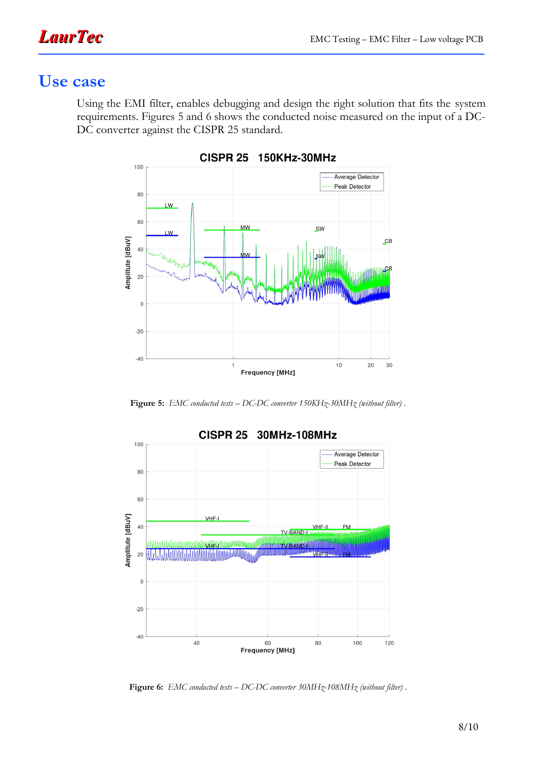## **Use case**

Using the EMI filter, enables debugging and design the right solution that fits the system requirements. Figures [5](#page-7-1) and [6](#page-7-0) shows the conducted noise measured on the input of a DC-DC converter against the CISPR 25 standard.



150KHz-30MHz **CISPR 25** 

<span id="page-7-1"></span>**Figure 5:** *EMC conducted tests – DC-DC converter 150KHz-30MHz (without filter) .*



<span id="page-7-0"></span>**Figure 6:** *EMC conducted tests – DC-DC converter 30MHz-108MHz (without filter) .*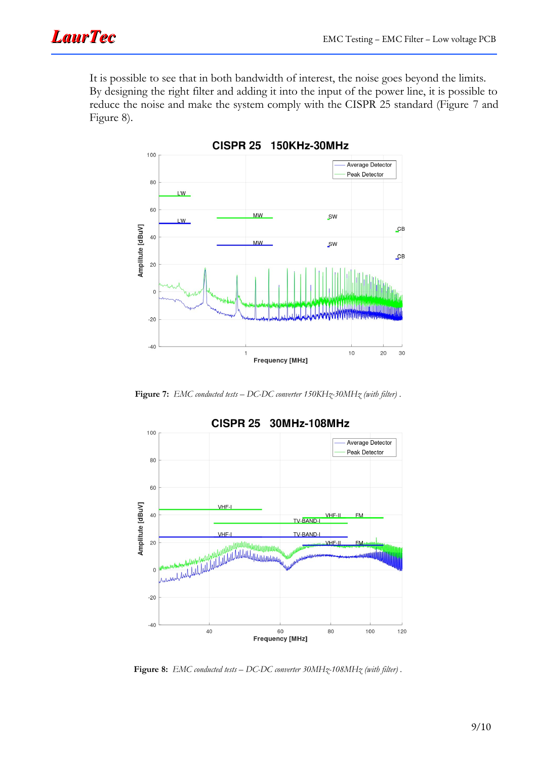It is possible to see that in both bandwidth of interest, the noise goes beyond the limits. By designing the right filter and adding it into the input of the power line, it is possible to reduce the noise and make the system comply with the CISPR 25 standard (Figure [7](#page-8-1) and Figure [8\)](#page-8-0).



**CISPR 25** 150KHz-30MHz

<span id="page-8-1"></span>**Figure 7:** *EMC conducted tests – DC-DC converter 150KHz-30MHz (with filter) .*



<span id="page-8-0"></span>**Figure 8:** *EMC conducted tests – DC-DC converter 30MHz-108MHz (with filter) .*